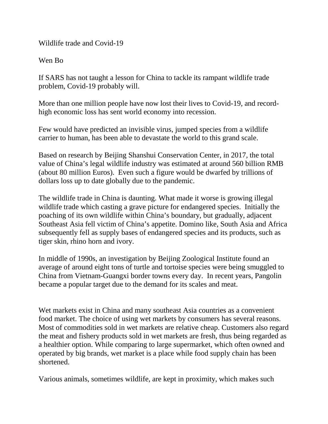Wildlife trade and Covid-19

Wen Bo

If SARS has not taught a lesson for China to tackle its rampant wildlife trade problem, Covid-19 probably will.

More than one million people have now lost their lives to Covid-19, and recordhigh economic loss has sent world economy into recession.

Few would have predicted an invisible virus, jumped species from a wildlife carrier to human, has been able to devastate the world to this grand scale.

Based on research by Beijing Shanshui Conservation Center, in 2017, the total value of China's legal wildlife industry was estimated at around 560 billion RMB (about 80 million Euros). Even such a figure would be dwarfed by trillions of dollars loss up to date globally due to the pandemic.

The wildlife trade in China is daunting. What made it worse is growing illegal wildlife trade which casting a grave picture for endangered species. Initially the poaching of its own wildlife within China's boundary, but gradually, adjacent Southeast Asia fell victim of China's appetite. Domino like, South Asia and Africa subsequently fell as supply bases of endangered species and its products, such as tiger skin, rhino horn and ivory.

In middle of 1990s, an investigation by Beijing Zoological Institute found an average of around eight tons of turtle and tortoise species were being smuggled to China from Vietnam-Guangxi border towns every day. In recent years, Pangolin became a popular target due to the demand for its scales and meat.

Wet markets exist in China and many southeast Asia countries as a convenient food market. The choice of using wet markets by consumers has several reasons. Most of commodities sold in wet markets are relative cheap. Customers also regard the meat and fishery products sold in wet markets are fresh, thus being regarded as a healthier option. While comparing to large supermarket, which often owned and operated by big brands, wet market is a place while food supply chain has been shortened.

Various animals, sometimes wildlife, are kept in proximity, which makes such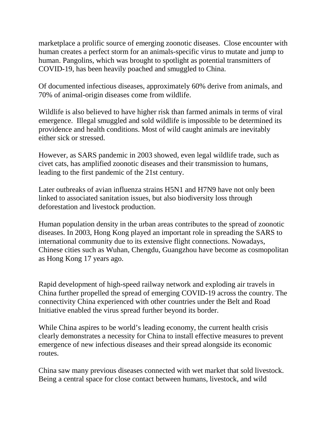marketplace a prolific source of emerging zoonotic diseases. Close encounter with human creates a perfect storm for an animals-specific virus to mutate and jump to human. Pangolins, which was brought to spotlight as potential transmitters of COVID-19, has been heavily poached and smuggled to China.

Of documented infectious diseases, approximately 60% derive from animals, and 70% of animal-origin diseases come from wildlife.

Wildlife is also believed to have higher risk than farmed animals in terms of viral emergence. Illegal smuggled and sold wildlife is impossible to be determined its providence and health conditions. Most of wild caught animals are inevitably either sick or stressed.

However, as SARS pandemic in 2003 showed, even legal wildlife trade, such as civet cats, has amplified zoonotic diseases and their transmission to humans, leading to the first pandemic of the 21st century.

Later outbreaks of avian influenza strains H5N1 and H7N9 have not only been linked to associated sanitation issues, but also biodiversity loss through deforestation and livestock production.

Human population density in the urban areas contributes to the spread of zoonotic diseases. In 2003, Hong Kong played an important role in spreading the SARS to international community due to its extensive flight connections. Nowadays, Chinese cities such as Wuhan, Chengdu, Guangzhou have become as cosmopolitan as Hong Kong 17 years ago.

Rapid development of high-speed railway network and exploding air travels in China further propelled the spread of emerging COVID-19 across the country. The connectivity China experienced with other countries under the Belt and Road Initiative enabled the virus spread further beyond its border.

While China aspires to be world's leading economy, the current health crisis clearly demonstrates a necessity for China to install effective measures to prevent emergence of new infectious diseases and their spread alongside its economic routes.

China saw many previous diseases connected with wet market that sold livestock. Being a central space for close contact between humans, livestock, and wild